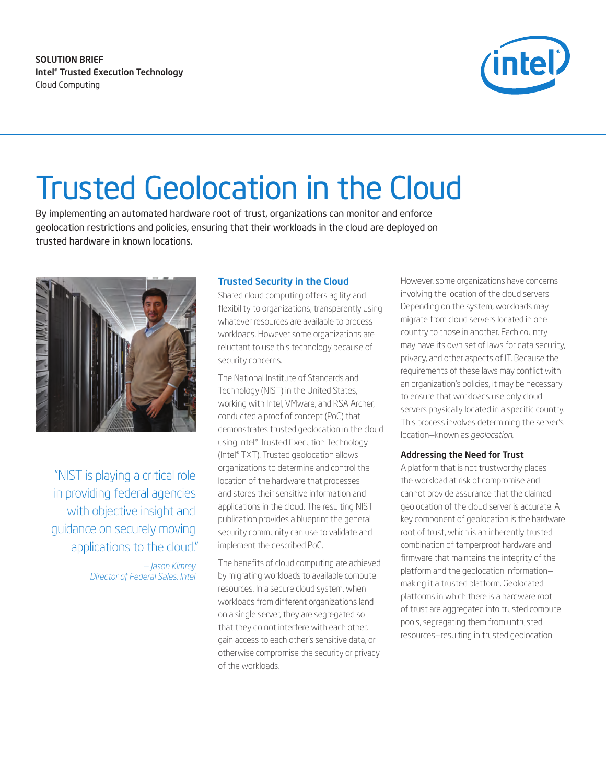SOLUTION BRIEF Intel® Trusted Execution Technology Cloud Computing



# Trusted Geolocation in the Cloud

By implementing an automated hardware root of trust, organizations can monitor and enforce geolocation restrictions and policies, ensuring that their workloads in the cloud are deployed on trusted hardware in known locations.



"NIST is playing a critical role in providing federal agencies with objective insight and guidance on securely moving applications to the cloud."

> *— Jason Kimrey Director of Federal Sales, Intel*

# Trusted Security in the Cloud

Shared cloud computing offers agility and flexibility to organizations, transparently using whatever resources are available to process workloads. However some organizations are reluctant to use this technology because of security concerns.

The National Institute of Standards and Technology (NIST) in the United States, working with Intel, VMware, and RSA Archer, conducted a proof of concept (PoC) that demonstrates trusted geolocation in the cloud using Intel® Trusted Execution Technology (Intel® TXT). Trusted geolocation allows organizations to determine and control the location of the hardware that processes and stores their sensitive information and applications in the cloud. The resulting NIST publication provides a blueprint the general security community can use to validate and implement the described PoC.

The benefits of cloud computing are achieved by migrating workloads to available compute resources. In a secure cloud system, when workloads from different organizations land on a single server, they are segregated so that they do not interfere with each other, gain access to each other's sensitive data, or otherwise compromise the security or privacy of the workloads.

However, some organizations have concerns involving the location of the cloud servers. Depending on the system, workloads may migrate from cloud servers located in one country to those in another. Each country may have its own set of laws for data security, privacy, and other aspects of IT. Because the requirements of these laws may conflict with an organization's policies, it may be necessary to ensure that workloads use only cloud servers physically located in a specific country. This process involves determining the server's location—known as *geolocation.*

#### Addressing the Need for Trust

A platform that is not trustworthy places the workload at risk of compromise and cannot provide assurance that the claimed geolocation of the cloud server is accurate. A key component of geolocation is the hardware root of trust, which is an inherently trusted combination of tamperproof hardware and firmware that maintains the integrity of the platform and the geolocation information making it a trusted platform. Geolocated platforms in which there is a hardware root of trust are aggregated into trusted compute pools, segregating them from untrusted resources—resulting in trusted geolocation.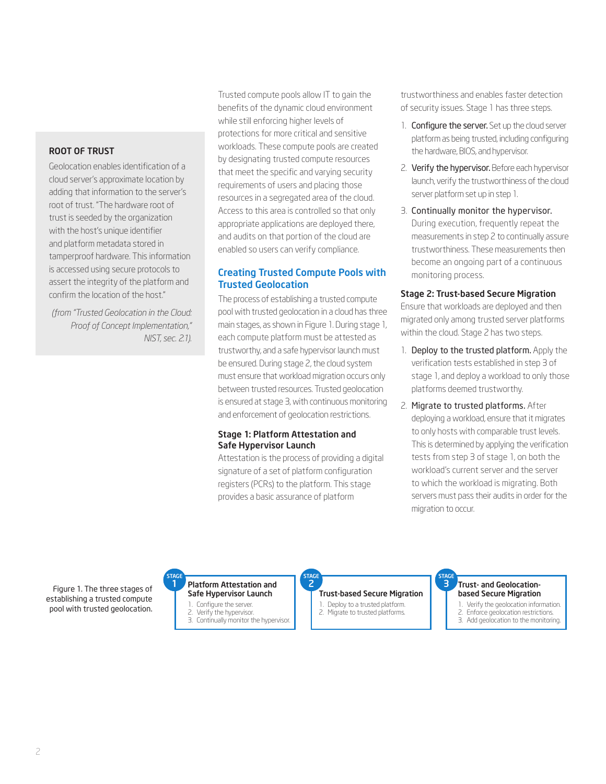#### Root of Trust

Geolocation enables identification of a cloud server's approximate location by adding that information to the server's root of trust. "The hardware root of trust is seeded by the organization with the host's unique identifier and platform metadata stored in tamperproof hardware. This information is accessed using secure protocols to assert the integrity of the platform and confirm the location of the host."

*(from "Trusted Geolocation in the Cloud: Proof of Concept Implementation," NIST, sec. 2.1).* 

Trusted compute pools allow IT to gain the benefits of the dynamic cloud environment while still enforcing higher levels of protections for more critical and sensitive workloads. These compute pools are created by designating trusted compute resources that meet the specific and varying security requirements of users and placing those resources in a segregated area of the cloud. Access to this area is controlled so that only appropriate applications are deployed there, and audits on that portion of the cloud are enabled so users can verify compliance.

# Creating Trusted Compute Pools with Trusted Geolocation

The process of establishing a trusted compute pool with trusted geolocation in a cloud has three main stages, as shown in Figure 1. During stage 1, each compute platform must be attested as trustworthy, and a safe hypervisor launch must be ensured. During stage 2, the cloud system must ensure that workload migration occurs only between trusted resources. Trusted geolocation is ensured at stage 3, with continuous monitoring and enforcement of geolocation restrictions.

#### Stage 1: Platform Attestation and Safe Hypervisor Launch

Attestation is the process of providing a digital signature of a set of platform configuration registers (PCRs) to the platform. This stage provides a basic assurance of platform

trustworthiness and enables faster detection of security issues. Stage 1 has three steps.

- 1. Configure the server. Set up the cloud server platform as being trusted, including configuring the hardware, BIOS, and hypervisor.
- 2. Verify the hypervisor. Before each hypervisor launch, verify the trustworthiness of the cloud server platform set up in step 1.
- 3. Continually monitor the hypervisor. During execution, frequently repeat the measurements in step 2 to continually assure trustworthiness. These measurements then become an ongoing part of a continuous monitoring process.

#### Stage 2: Trust-based Secure Migration

Ensure that workloads are deployed and then migrated only among trusted server platforms within the cloud. Stage 2 has two steps.

- 1. Deploy to the trusted platform. Apply the verification tests established in step 3 of stage 1, and deploy a workload to only those platforms deemed trustworthy.
- 2. Migrate to trusted platforms. After deploying a workload, ensure that it migrates to only hosts with comparable trust levels. This is determined by applying the verification tests from step 3 of stage 1, on both the workload's current server and the server to which the workload is migrating. Both servers must pass their audits in order for the migration to occur.

Figure 1. The three stages of establishing a trusted compute pool with trusted geolocation.



**2010 Hypervisor** C 1. Configure the server.

- Verify the hypervisor
- 3. Continually monitor the hypervisor.

### Trust-based Secure Migration AGE STAGE STAGE STAGE

- Deploy to a trusted platform.
- 2. Migrate to trusted platforms.

#### Trust- and Geolocationbased Secure Migration

3

- 1. Verify the geolocation information.
- 2. Enforce geolocation restrictions. 3. Add geolocation to the monitoring.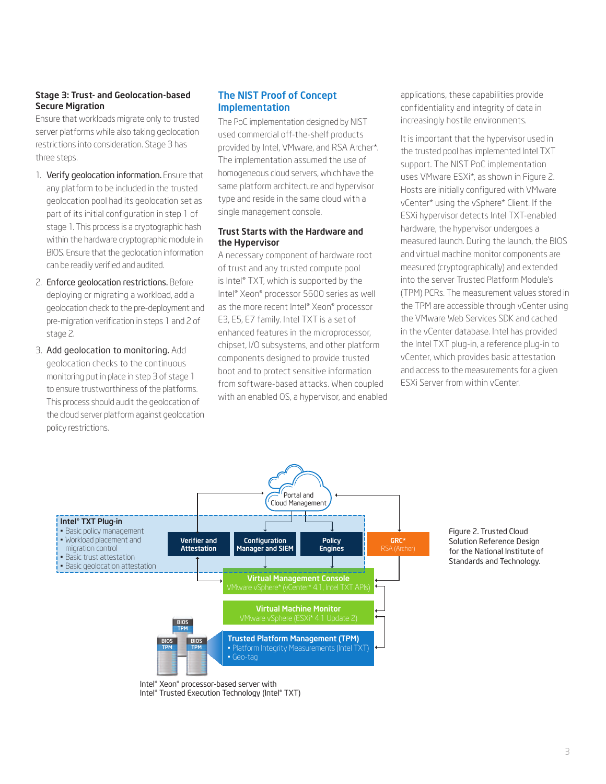### Stage 3: Trust- and Geolocation-based Secure Migration

Ensure that workloads migrate only to trusted server platforms while also taking geolocation restrictions into consideration. Stage 3 has three steps.

- 1. Verify geolocation information. Ensure that any platform to be included in the trusted geolocation pool had its geolocation set as part of its initial configuration in step 1 of stage 1. This process is a cryptographic hash within the hardware cryptographic module in BIOS. Ensure that the geolocation information can be readily verified and audited.
- 2. Enforce geolocation restrictions. Before deploying or migrating a workload, add a geolocation check to the pre-deployment and pre-migration verification in steps 1 and 2 of stage 2.
- 3. Add geolocation to monitoring. Add geolocation checks to the continuous monitoring put in place in step 3 of stage 1 to ensure trustworthiness of the platforms. This process should audit the geolocation of the cloud server platform against geolocation policy restrictions.

### The NIST Proof of Concept Implementation

The PoC implementation designed by NIST used commercial off-the-shelf products provided by Intel, VMware, and RSA Archer\*. The implementation assumed the use of homogeneous cloud servers, which have the same platform architecture and hypervisor type and reside in the same cloud with a single management console.

#### Trust Starts with the Hardware and the Hypervisor

A necessary component of hardware root of trust and any trusted compute pool is Intel® TXT, which is supported by the Intel® Xeon® processor 5600 series as well as the more recent Intel® Xeon® processor E3, E5, E7 family. Intel TXT is a set of enhanced features in the microprocessor, chipset, I/O subsystems, and other platform components designed to provide trusted boot and to protect sensitive information from software-based attacks. When coupled with an enabled OS, a hypervisor, and enabled applications, these capabilities provide confidentiality and integrity of data in increasingly hostile environments.

It is important that the hypervisor used in the trusted pool has implemented Intel TXT support. The NIST PoC implementation uses VMware ESXi\*, as shown in Figure 2. Hosts are initially configured with VMware vCenter\* using the vSphere\* Client. If the ESXi hypervisor detects Intel TXT-enabled hardware, the hypervisor undergoes a measured launch. During the launch, the BIOS and virtual machine monitor components are measured (cryptographically) and extended into the server Trusted Platform Module's (TPM) PCRs. The measurement values stored in the TPM are accessible through vCenter using the VMware Web Services SDK and cached in the vCenter database. Intel has provided the Intel TXT plug-in, a reference plug-in to vCenter, which provides basic attestation and access to the measurements for a given ESXi Server from within vCenter.



Intel® Xeon® processor-based server with Intel® Trusted Execution Technology (Intel® TXT) Figure 2. Trusted Cloud Solution Reference Design for the National Institute of Standards and Technology.